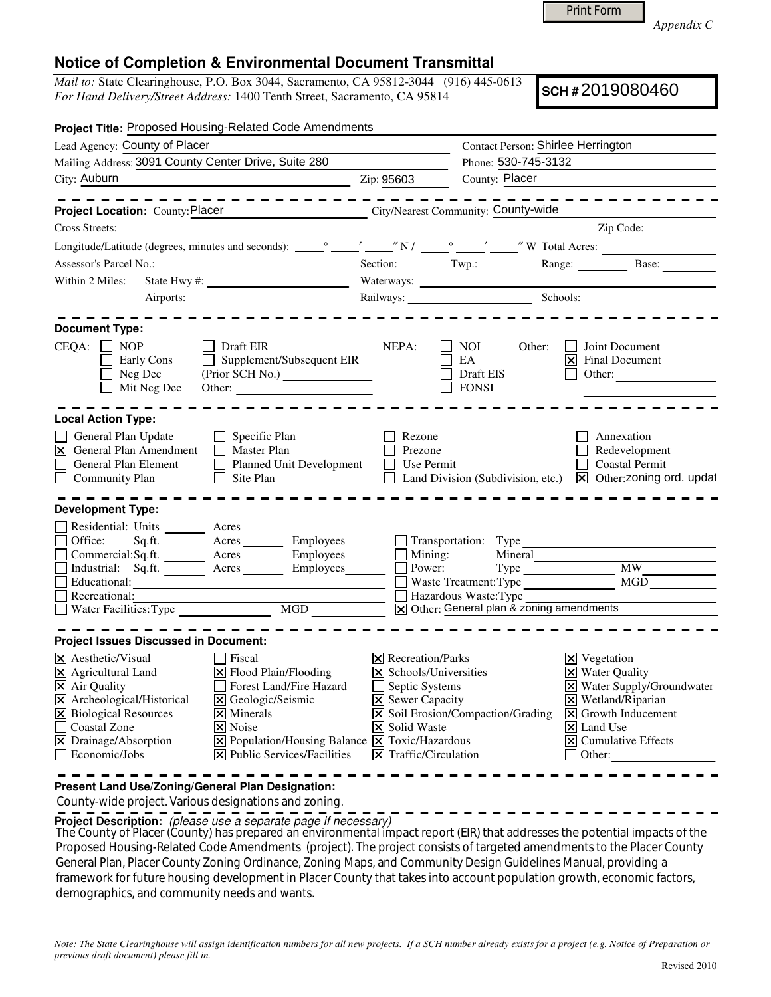Print Form

*Appendix C* 

## **Notice of Completion & Environmental Document Transmittal**

*Mail to:* State Clearinghouse, P.O. Box 3044, Sacramento, CA 95812-3044 (916) 445-0613 *For Hand Delivery/Street Address:* 1400 Tenth Street, Sacramento, CA 95814

**SCH #** 2019080460

| Project Title: Proposed Housing-Related Code Amendments                                                                                                                                                                                                                                                                                                                                                                                                                                       |                                                                                                                                                                                           |                                                                                                                          |        |                                                                                                                                                                                                                                               |
|-----------------------------------------------------------------------------------------------------------------------------------------------------------------------------------------------------------------------------------------------------------------------------------------------------------------------------------------------------------------------------------------------------------------------------------------------------------------------------------------------|-------------------------------------------------------------------------------------------------------------------------------------------------------------------------------------------|--------------------------------------------------------------------------------------------------------------------------|--------|-----------------------------------------------------------------------------------------------------------------------------------------------------------------------------------------------------------------------------------------------|
| Lead Agency: County of Placer                                                                                                                                                                                                                                                                                                                                                                                                                                                                 |                                                                                                                                                                                           | Contact Person: Shirlee Herrington                                                                                       |        |                                                                                                                                                                                                                                               |
| Mailing Address: 3091 County Center Drive, Suite 280                                                                                                                                                                                                                                                                                                                                                                                                                                          | Phone: 530-745-3132                                                                                                                                                                       |                                                                                                                          |        |                                                                                                                                                                                                                                               |
| City: Auburn<br><u> 1989 - Johann Barbara, martin amerikan basar da</u>                                                                                                                                                                                                                                                                                                                                                                                                                       | Zip: 95603                                                                                                                                                                                | County: Placer                                                                                                           |        |                                                                                                                                                                                                                                               |
| City/Nearest Community: County-wide<br>Project Location: County: Placer                                                                                                                                                                                                                                                                                                                                                                                                                       |                                                                                                                                                                                           |                                                                                                                          |        |                                                                                                                                                                                                                                               |
| Cross Streets:                                                                                                                                                                                                                                                                                                                                                                                                                                                                                |                                                                                                                                                                                           |                                                                                                                          |        |                                                                                                                                                                                                                                               |
|                                                                                                                                                                                                                                                                                                                                                                                                                                                                                               |                                                                                                                                                                                           |                                                                                                                          |        |                                                                                                                                                                                                                                               |
| Assessor's Parcel No.:<br><u> 1989 - Johann Barbara, martxa al III-lea (h. 1974).</u>                                                                                                                                                                                                                                                                                                                                                                                                         |                                                                                                                                                                                           |                                                                                                                          |        | Section: Twp.: Range: Base:                                                                                                                                                                                                                   |
| Within 2 Miles:                                                                                                                                                                                                                                                                                                                                                                                                                                                                               |                                                                                                                                                                                           | Waterways:                                                                                                               |        |                                                                                                                                                                                                                                               |
|                                                                                                                                                                                                                                                                                                                                                                                                                                                                                               |                                                                                                                                                                                           | Railways: Schools: Schools:                                                                                              |        |                                                                                                                                                                                                                                               |
| <b>Document Type:</b><br>$CEQA: \Box NP$<br><b>Draft EIR</b><br>Early Cons<br>Supplement/Subsequent EIR<br>Neg Dec<br>(Prior SCH No.)<br>$\Box$ Mit Neg Dec<br>Other:                                                                                                                                                                                                                                                                                                                         | NEPA:                                                                                                                                                                                     | NOI<br>EA<br><b>Draft EIS</b><br><b>FONSI</b>                                                                            | Other: | Joint Document<br>$ \mathsf{x} $ Final Document<br>$\Box$ Other:                                                                                                                                                                              |
| <b>Local Action Type:</b><br>General Plan Update<br>$\Box$ Specific Plan<br>$\vert\mathbf{\Sigma}\vert$ General Plan Amendment<br>$\Box$ Master Plan<br>General Plan Element<br>Planned Unit Development<br>$\Box$ Site Plan<br>Community Plan                                                                                                                                                                                                                                                | Rezone<br>Prezone<br>$\Box$ Use Permit                                                                                                                                                    |                                                                                                                          |        | Annexation<br>Redevelopment<br>Coastal Permit<br>Land Division (Subdivision, etc.) <b>X</b> Other: <b>zoning ord.</b> updat                                                                                                                   |
| <b>Development Type:</b><br>Residential: Units ________ Acres _______<br>Sq.ft. _________ Acres __________ Employees________ $\Box$ Transportation: Type<br>Office:<br>Commercial:Sq.ft. Acres Employees Mining: Mining: Mineral<br>Industrial: Sq.ft. <u>Acres</u> Acres Employees<br>Educational:<br><u> 1989 - Johann Barbara, martxa a</u><br>Recreational:                                                                                                                               |                                                                                                                                                                                           | Power:<br>Waste Treatment: Type<br>Hazardous Waste: Type<br>$\boxed{\mathsf{x}}$ Other: General plan & zoning amendments |        | Type MW                                                                                                                                                                                                                                       |
| <b>Project Issues Discussed in Document:</b>                                                                                                                                                                                                                                                                                                                                                                                                                                                  |                                                                                                                                                                                           |                                                                                                                          |        |                                                                                                                                                                                                                                               |
| $\times$ Aesthetic/Visual<br>  Fiscal<br>$\boxtimes$ Agricultural Land<br>$ \mathsf{X} $ Flood Plain/Flooding<br>X Air Quality<br>Forest Land/Fire Hazard<br>X Archeological/Historical<br>X Geologic/Seismic<br>X Biological Resources<br>$\times$ Minerals<br>Coastal Zone<br>$\vert \mathsf{x} \vert$ Noise<br>X Drainage/Absorption<br>$\boxtimes$ Population/Housing Balance $\boxtimes$ Toxic/Hazardous<br>$ \mathbf{\overline{X}} $ Public Services/Facilities<br>$\Box$ Economic/Jobs | $\times$ Recreation/Parks<br>$\triangleright$ Schools/Universities<br>$\Box$ Septic Systems<br><b>X</b> Sewer Capacity<br><b>X</b> Solid Waste<br>$ \mathbf{\nabla} $ Traffic/Circulation | X Soil Erosion/Compaction/Grading                                                                                        |        | $\Xi$ Vegetation<br><b>X</b> Water Quality<br>X Water Supply/Groundwater<br>$\times$ Wetland/Riparian<br>$\overline{\mathsf{X}}$ Growth Inducement<br>$\vert\mathsf{X}\vert$ Land Use<br>$\overline{\mathsf{X}}$ Cumulative Effects<br>Other: |

**Present Land Use/Zoning/General Plan Designation:**

County-wide project. Various designations and zoning.

**Project Description:** (please use a separate page if necessary)

 The County of Placer (County) has prepared an environmental impact report (EIR) that addresses the potential impacts of the Proposed Housing-Related Code Amendments (project). The project consists of targeted amendments to the Placer County General Plan, Placer County Zoning Ordinance, Zoning Maps, and Community Design Guidelines Manual, providing a framework for future housing development in Placer County that takes into account population growth, economic factors, demographics, and community needs and wants.

*Note: The State Clearinghouse will assign identification numbers for all new projects. If a SCH number already exists for a project (e.g. Notice of Preparation or previous draft document) please fill in.*